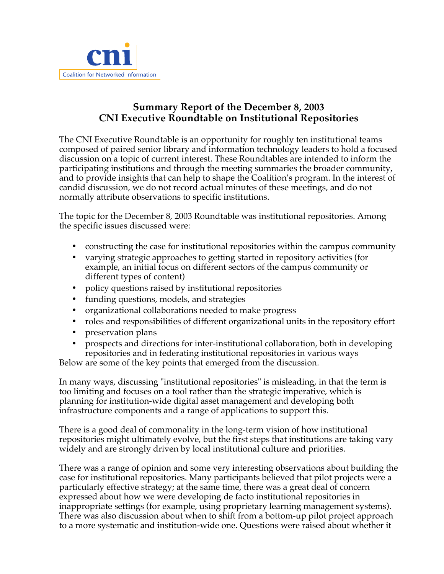

## **Summary Report of the December 8, 2003 CNI Executive Roundtable on Institutional Repositories**

The CNI Executive Roundtable is an opportunity for roughly ten institutional teams composed of paired senior library and information technology leaders to hold a focused discussion on a topic of current interest. These Roundtables are intended to inform the participating institutions and through the meeting summaries the broader community, and to provide insights that can help to shape the Coalition's program. In the interest of candid discussion, we do not record actual minutes of these meetings, and do not normally attribute observations to specific institutions.

The topic for the December 8, 2003 Roundtable was institutional repositories. Among the specific issues discussed were:

- constructing the case for institutional repositories within the campus community
- varying strategic approaches to getting started in repository activities (for example, an initial focus on different sectors of the campus community or different types of content)
- policy questions raised by institutional repositories
- funding questions, models, and strategies
- organizational collaborations needed to make progress
- roles and responsibilities of different organizational units in the repository effort
- preservation plans
- prospects and directions for inter-institutional collaboration, both in developing repositories and in federating institutional repositories in various ways

Below are some of the key points that emerged from the discussion.

In many ways, discussing "institutional repositories" is misleading, in that the term is too limiting and focuses on a tool rather than the strategic imperative, which is planning for institution-wide digital asset management and developing both infrastructure components and a range of applications to support this.

There is a good deal of commonality in the long-term vision of how institutional repositories might ultimately evolve, but the first steps that institutions are taking vary widely and are strongly driven by local institutional culture and priorities.

There was a range of opinion and some very interesting observations about building the case for institutional repositories. Many participants believed that pilot projects were a particularly effective strategy; at the same time, there was a great deal of concern expressed about how we were developing de facto institutional repositories in inappropriate settings (for example, using proprietary learning management systems). There was also discussion about when to shift from a bottom-up pilot project approach to a more systematic and institution-wide one. Questions were raised about whether it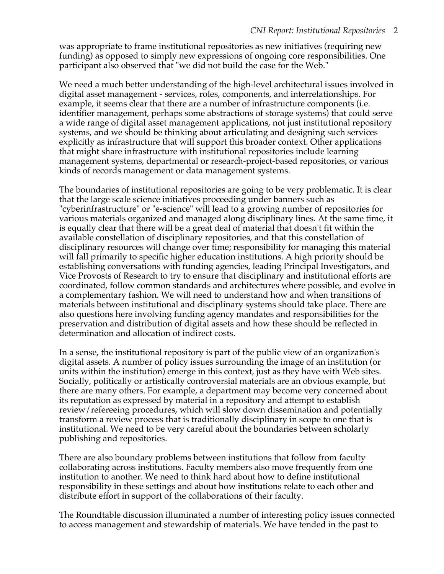was appropriate to frame institutional repositories as new initiatives (requiring new funding) as opposed to simply new expressions of ongoing core responsibilities. One participant also observed that "we did not build the case for the Web."

We need a much better understanding of the high-level architectural issues involved in digital asset management - services, roles, components, and interrelationships. For example, it seems clear that there are a number of infrastructure components (i.e. identifier management, perhaps some abstractions of storage systems) that could serve a wide range of digital asset management applications, not just institutional repository systems, and we should be thinking about articulating and designing such services explicitly as infrastructure that will support this broader context. Other applications that might share infrastructure with institutional repositories include learning management systems, departmental or research-project-based repositories, or various kinds of records management or data management systems.

The boundaries of institutional repositories are going to be very problematic. It is clear that the large scale science initiatives proceeding under banners such as "cyberinfrastructure" or "e-science" will lead to a growing number of repositories for various materials organized and managed along disciplinary lines. At the same time, it is equally clear that there will be a great deal of material that doesn't fit within the available constellation of disciplinary repositories, and that this constellation of disciplinary resources will change over time; responsibility for managing this material will fall primarily to specific higher education institutions. A high priority should be establishing conversations with funding agencies, leading Principal Investigators, and Vice Provosts of Research to try to ensure that disciplinary and institutional efforts are coordinated, follow common standards and architectures where possible, and evolve in a complementary fashion. We will need to understand how and when transitions of materials between institutional and disciplinary systems should take place. There are also questions here involving funding agency mandates and responsibilities for the preservation and distribution of digital assets and how these should be reflected in determination and allocation of indirect costs.

In a sense, the institutional repository is part of the public view of an organization's digital assets. A number of policy issues surrounding the image of an institution (or units within the institution) emerge in this context, just as they have with Web sites. Socially, politically or artistically controversial materials are an obvious example, but there are many others. For example, a department may become very concerned about its reputation as expressed by material in a repository and attempt to establish review/refereeing procedures, which will slow down dissemination and potentially transform a review process that is traditionally disciplinary in scope to one that is institutional. We need to be very careful about the boundaries between scholarly publishing and repositories.

There are also boundary problems between institutions that follow from faculty collaborating across institutions. Faculty members also move frequently from one institution to another. We need to think hard about how to define institutional responsibility in these settings and about how institutions relate to each other and distribute effort in support of the collaborations of their faculty.

The Roundtable discussion illuminated a number of interesting policy issues connected to access management and stewardship of materials. We have tended in the past to